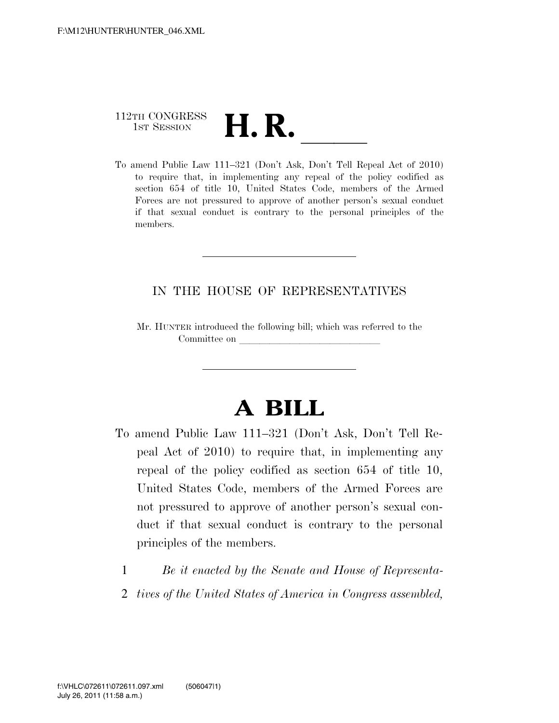## 112TH CONGRESS 112TH CONGRESS<br>
1st Session<br>
To amend Public Law 111–321 (Don't Ask, Don't Tell Repeal Act of 2010)

to require that, in implementing any repeal of the policy codified as section 654 of title 10, United States Code, members of the Armed Forces are not pressured to approve of another person's sexual conduct if that sexual conduct is contrary to the personal principles of the members.

## IN THE HOUSE OF REPRESENTATIVES

Mr. HUNTER introduced the following bill; which was referred to the Committee on

## **A BILL**

- To amend Public Law 111–321 (Don't Ask, Don't Tell Repeal Act of 2010) to require that, in implementing any repeal of the policy codified as section 654 of title 10, United States Code, members of the Armed Forces are not pressured to approve of another person's sexual conduct if that sexual conduct is contrary to the personal principles of the members.
	- 1 *Be it enacted by the Senate and House of Representa-*
	- 2 *tives of the United States of America in Congress assembled,*